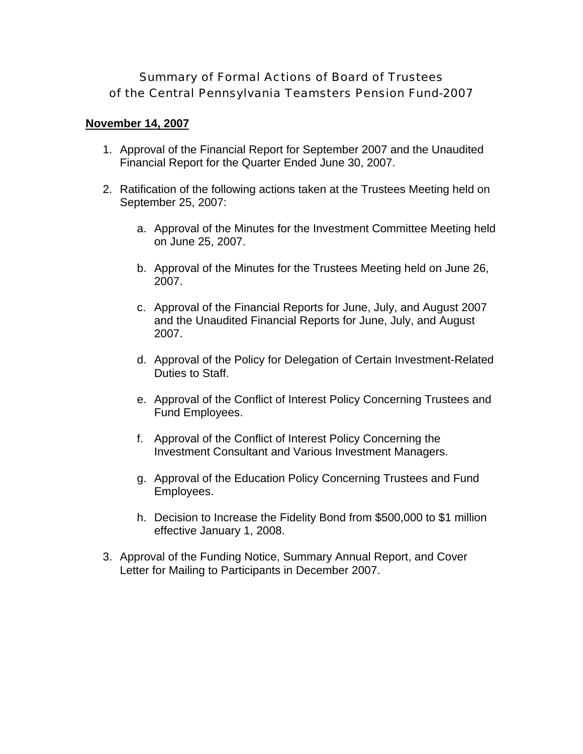# Summary of Formal Actions of Board of Trustees of the Central Pennsylvania Teamsters Pension Fund-2007

# **November 14, 2007**

- 1. Approval of the Financial Report for September 2007 and the Unaudited Financial Report for the Quarter Ended June 30, 2007.
- 2. Ratification of the following actions taken at the Trustees Meeting held on September 25, 2007:
	- a. Approval of the Minutes for the Investment Committee Meeting held on June 25, 2007.
	- b. Approval of the Minutes for the Trustees Meeting held on June 26, 2007.
	- c. Approval of the Financial Reports for June, July, and August 2007 and the Unaudited Financial Reports for June, July, and August 2007.
	- d. Approval of the Policy for Delegation of Certain Investment-Related Duties to Staff.
	- e. Approval of the Conflict of Interest Policy Concerning Trustees and Fund Employees.
	- f. Approval of the Conflict of Interest Policy Concerning the Investment Consultant and Various Investment Managers.
	- g. Approval of the Education Policy Concerning Trustees and Fund Employees.
	- h. Decision to Increase the Fidelity Bond from \$500,000 to \$1 million effective January 1, 2008.
- 3. Approval of the Funding Notice, Summary Annual Report, and Cover Letter for Mailing to Participants in December 2007.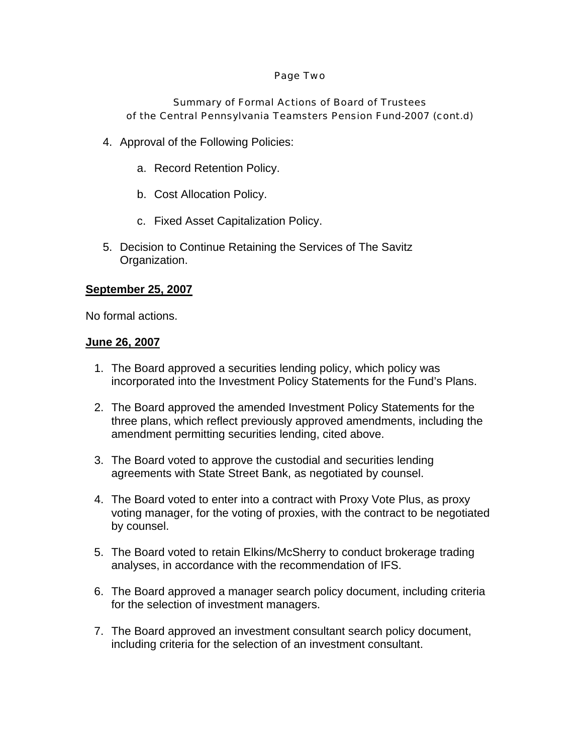#### Page Two

# Summary of Formal Actions of Board of Trustees of the Central Pennsylvania Teamsters Pension Fund-2007 (cont.d)

- 4. Approval of the Following Policies:
	- a. Record Retention Policy.
	- b. Cost Allocation Policy.
	- c. Fixed Asset Capitalization Policy.
- 5. Decision to Continue Retaining the Services of The Savitz Organization.

# **September 25, 2007**

No formal actions.

### **June 26, 2007**

- 1. The Board approved a securities lending policy, which policy was incorporated into the Investment Policy Statements for the Fund's Plans.
- 2. The Board approved the amended Investment Policy Statements for the three plans, which reflect previously approved amendments, including the amendment permitting securities lending, cited above.
- 3. The Board voted to approve the custodial and securities lending agreements with State Street Bank, as negotiated by counsel.
- 4. The Board voted to enter into a contract with Proxy Vote Plus, as proxy voting manager, for the voting of proxies, with the contract to be negotiated by counsel.
- 5. The Board voted to retain Elkins/McSherry to conduct brokerage trading analyses, in accordance with the recommendation of IFS.
- 6. The Board approved a manager search policy document, including criteria for the selection of investment managers.
- 7. The Board approved an investment consultant search policy document, including criteria for the selection of an investment consultant.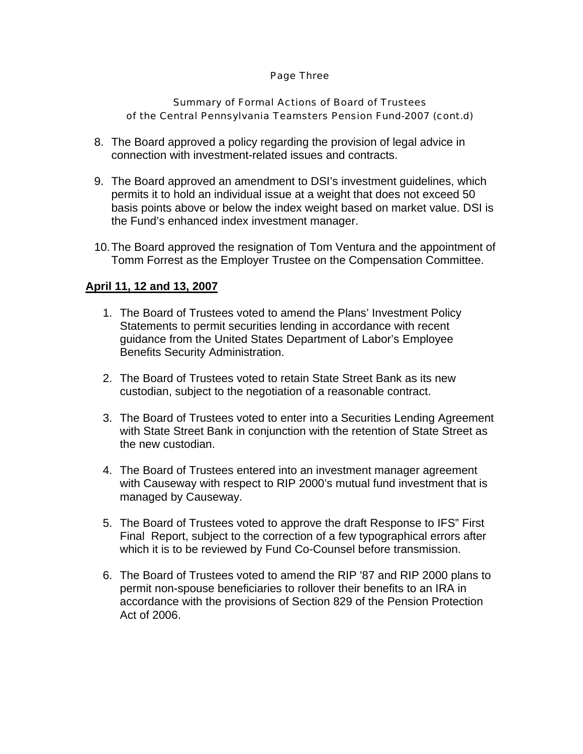#### Page Three

# Summary of Formal Actions of Board of Trustees of the Central Pennsylvania Teamsters Pension Fund-2007 (cont.d)

- 8. The Board approved a policy regarding the provision of legal advice in connection with investment-related issues and contracts.
- 9. The Board approved an amendment to DSI's investment guidelines, which permits it to hold an individual issue at a weight that does not exceed 50 basis points above or below the index weight based on market value. DSI is the Fund's enhanced index investment manager.
- 10. The Board approved the resignation of Tom Ventura and the appointment of Tomm Forrest as the Employer Trustee on the Compensation Committee.

# **April 11, 12 and 13, 2007**

- 1. The Board of Trustees voted to amend the Plans' Investment Policy Statements to permit securities lending in accordance with recent guidance from the United States Department of Labor's Employee Benefits Security Administration.
- 2. The Board of Trustees voted to retain State Street Bank as its new custodian, subject to the negotiation of a reasonable contract.
- 3. The Board of Trustees voted to enter into a Securities Lending Agreement with State Street Bank in conjunction with the retention of State Street as the new custodian.
- 4. The Board of Trustees entered into an investment manager agreement with Causeway with respect to RIP 2000's mutual fund investment that is managed by Causeway.
- 5. The Board of Trustees voted to approve the draft Response to IFS" First Final Report, subject to the correction of a few typographical errors after which it is to be reviewed by Fund Co-Counsel before transmission.
- 6. The Board of Trustees voted to amend the RIP '87 and RIP 2000 plans to permit non-spouse beneficiaries to rollover their benefits to an IRA in accordance with the provisions of Section 829 of the Pension Protection Act of 2006.